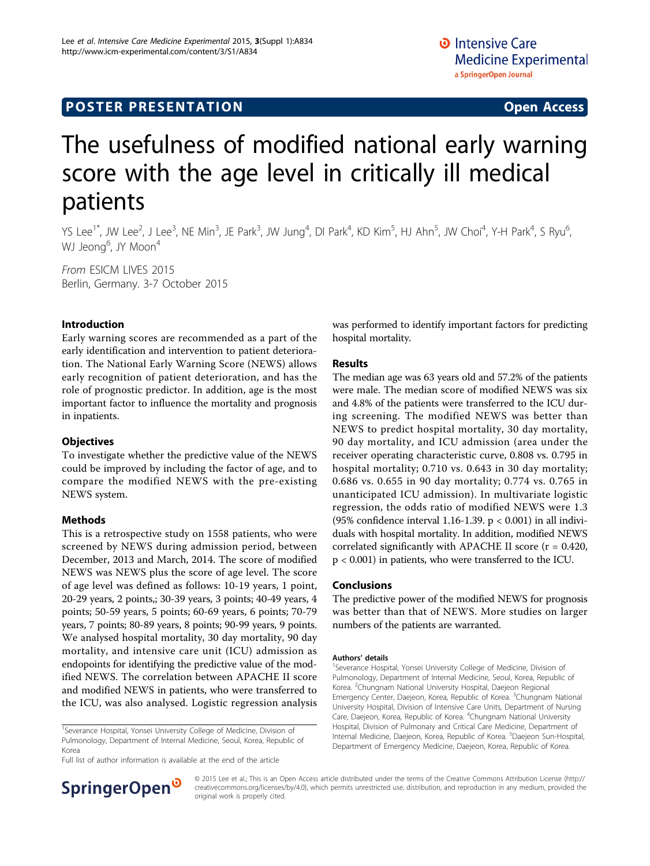# **POSTER PRESENTATION CONSUMING ACCESS**

# The usefulness of modified national early warning score with the age level in critically ill medical patients

YS Lee $^{1*}$ , JW Lee $^{2}$ , J Lee $^{3}$ , NE Min $^{3}$ , JE Park $^{3}$ , JW Jung $^{4}$ , DI Park $^{4}$ , KD Kim $^{5}$ , HJ Ahn $^{5}$ , JW Choi $^{4}$ , Y-H Park $^{4}$ , S Ryu $^{6}$ , WJ Jeong<sup>6</sup>, JY Moon<sup>4</sup>

From ESICM LIVES 2015 Berlin, Germany. 3-7 October 2015

# Introduction

Early warning scores are recommended as a part of the early identification and intervention to patient deterioration. The National Early Warning Score (NEWS) allows early recognition of patient deterioration, and has the role of prognostic predictor. In addition, age is the most important factor to influence the mortality and prognosis in inpatients.

## **Objectives**

To investigate whether the predictive value of the NEWS could be improved by including the factor of age, and to compare the modified NEWS with the pre-existing NEWS system.

# Methods

This is a retrospective study on 1558 patients, who were screened by NEWS during admission period, between December, 2013 and March, 2014. The score of modified NEWS was NEWS plus the score of age level. The score of age level was defined as follows: 10-19 years, 1 point, 20-29 years, 2 points,; 30-39 years, 3 points; 40-49 years, 4 points; 50-59 years, 5 points; 60-69 years, 6 points; 70-79 years, 7 points; 80-89 years, 8 points; 90-99 years, 9 points. We analysed hospital mortality, 30 day mortality, 90 day mortality, and intensive care unit (ICU) admission as endopoints for identifying the predictive value of the modified NEWS. The correlation between APACHE II score and modified NEWS in patients, who were transferred to the ICU, was also analysed. Logistic regression analysis

Full list of author information is available at the end of the article



was performed to identify important factors for predicting hospital mortality.

## Results

The median age was 63 years old and 57.2% of the patients were male. The median score of modified NEWS was six and 4.8% of the patients were transferred to the ICU during screening. The modified NEWS was better than NEWS to predict hospital mortality, 30 day mortality, 90 day mortality, and ICU admission (area under the receiver operating characteristic curve, 0.808 vs. 0.795 in hospital mortality; 0.710 vs. 0.643 in 30 day mortality; 0.686 vs. 0.655 in 90 day mortality; 0.774 vs. 0.765 in unanticipated ICU admission). In multivariate logistic regression, the odds ratio of modified NEWS were 1.3 (95% confidence interval 1.16-1.39. p < 0.001) in all individuals with hospital mortality. In addition, modified NEWS correlated significantly with APACHE II score  $(r = 0.420,$ p < 0.001) in patients, who were transferred to the ICU.

#### Conclusions

The predictive power of the modified NEWS for prognosis was better than that of NEWS. More studies on larger numbers of the patients are warranted.

#### Authors' details <sup>1</sup>

<sup>1</sup>Severance Hospital, Yonsei University College of Medicine, Division of Pulmonology, Department of Internal Medicine, Seoul, Korea, Republic of Korea. <sup>2</sup>Chungnam National University Hospital, Daejeon Regional Emergency Center, Daejeon, Korea, Republic of Korea. <sup>3</sup>Chungnam National University Hospital, Division of Intensive Care Units, Department of Nursing Care, Daejeon, Korea, Republic of Korea. <sup>4</sup>Chungnam National University Hospital, Division of Pulmonary and Critical Care Medicine, Department of Internal Medicine, Daejeon, Korea, Republic of Korea. <sup>5</sup>Daejeon Sun-Hospital Department of Emergency Medicine, Daejeon, Korea, Republic of Korea.

© 2015 Lee et al.; This is an Open Access article distributed under the terms of the Creative Commons Attribution License ([http://](http://creativecommons.org/licenses/by/4.0) [creativecommons.org/licenses/by/4.0](http://creativecommons.org/licenses/by/4.0)), which permits unrestricted use, distribution, and reproduction in any medium, provided the original work is properly cited.

<sup>&</sup>lt;sup>1</sup>Severance Hospital, Yonsei University College of Medicine, Division of Pulmonology, Department of Internal Medicine, Seoul, Korea, Republic of Korea